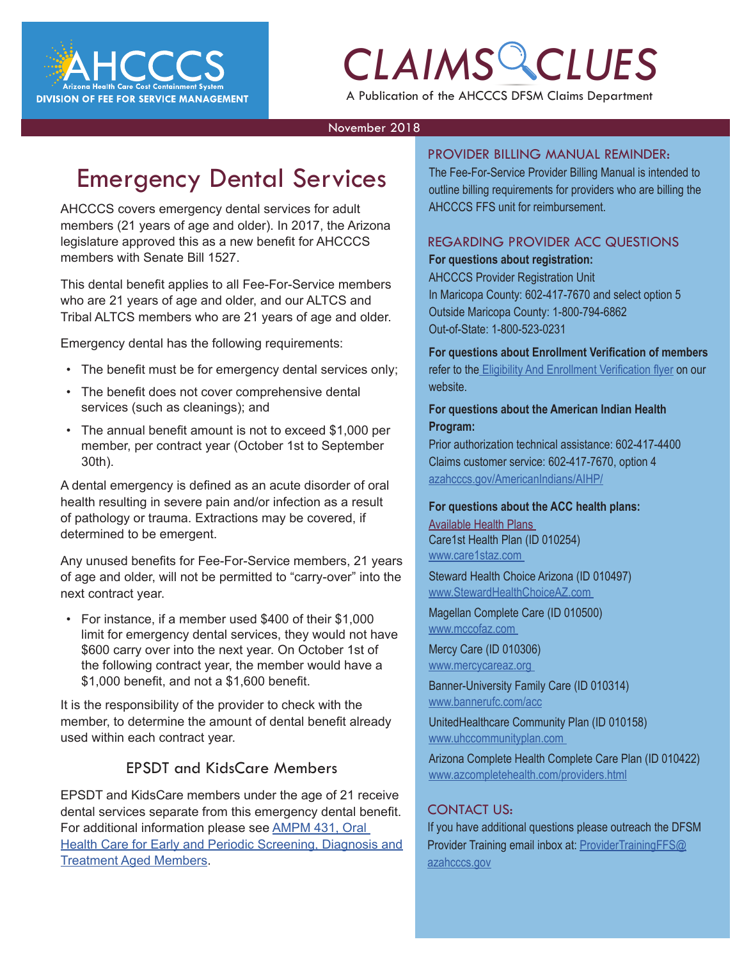

A Publication of the AHCCCS DFSM Claims Department

#### November 2018

## Emergency Dental Services

AHCCCS covers emergency dental services for adult members (21 years of age and older). In 2017, the Arizona legislature approved this as a new benefit for AHCCCS members with Senate Bill 1527.

This dental benefit applies to all Fee-For-Service members who are 21 years of age and older, and our ALTCS and Tribal ALTCS members who are 21 years of age and older.

Emergency dental has the following requirements:

- The benefit must be for emergency dental services only;
- The benefit does not cover comprehensive dental services (such as cleanings); and
- The annual benefit amount is not to exceed \$1,000 per member, per contract year (October 1st to September 30th).

A dental emergency is defined as an acute disorder of oral health resulting in severe pain and/or infection as a result of pathology or trauma. Extractions may be covered, if determined to be emergent.

Any unused benefits for Fee-For-Service members, 21 years of age and older, will not be permitted to "carry-over" into the next contract year.

• For instance, if a member used \$400 of their \$1,000 limit for emergency dental services, they would not have \$600 carry over into the next year. On October 1st of the following contract year, the member would have a \$1,000 benefit, and not a \$1,600 benefit.

It is the responsibility of the provider to check with the member, to determine the amount of dental benefit already used within each contract year.

#### EPSDT and KidsCare Members

EPSDT and KidsCare members under the age of 21 receive dental services separate from this emergency dental benefit. For additional information please see [AMPM 431, Oral](https://www.azahcccs.gov/shared/Downloads/MedicalPolicyManual/400/431.pdf)  [Health Care for Early and Periodic Screening, Diagnosis and](https://www.azahcccs.gov/shared/Downloads/MedicalPolicyManual/400/431.pdf)  [Treatment Aged Members.](https://www.azahcccs.gov/shared/Downloads/MedicalPolicyManual/400/431.pdf)

#### PROVIDER BILLING MANUAL REMINDER:

The Fee-For-Service Provider Billing Manual is intended to<br>
outline billing requirements for providers who are billing the<br>
AHCCCS FFS unit for reimbursement. The Fee-For-Service Provider Billing Manual is intended to outline billing requirements for providers who are billing the AHCCCS FFS unit for reimbursement.

#### REGARDING PROVIDER ACC QUESTIONS **For questions about registration:**

AHCCCS Provider Registration Unit In Maricopa County: 602-417-7670 and select option 5 Outside Maricopa County: 1-800-794-6862 Out-of-State: 1-800-523-0231

**For questions about Enrollment Verification of members**  refer to the [Eligibility And Enrollment Verification flyer](https://www.azahcccs.gov/AHCCCS/Downloads/ACC/ACC_Eligibility_Enrollment_Verification.pdf) on our website.

#### **For questions about the American Indian Health Program:**

Prior authorization technical assistance: 602-417-4400 Claims customer service: 602-417-7670, option 4 [azahcccs.gov/AmericanIndians/AIHP/](http://azahcccs.gov/AmericanIndians/AIHP/)

#### **For questions about the ACC health plans:**

Available Health Plans Care1st Health Plan (ID 010254) [www.care1staz.com](http://www.care1staz.com) 

Steward Health Choice Arizona (ID 010497) [www.StewardHealthChoiceAZ.com](http://www.StewardHealthChoiceAZ.com)

Magellan Complete Care (ID 010500) [www.mccofaz.com](http://www.mccofaz.com) 

Mercy Care (ID 010306) [www.mercycareaz.org](http://www.mercycareaz.org) 

Banner-University Family Care (ID 010314) [www.bannerufc.com/acc](http://www.bannerufc.com/acc 
)

UnitedHealthcare Community Plan (ID 010158) [www.uhccommunityplan.com](http://www.mercycareaz.org) 

Arizona Complete Health Complete Care Plan (ID 010422) [www.azcompletehealth.com/providers.html](http://www.azcompletehealth.com/providers.html)

#### CONTACT US:

If you have additional questions please outreach the DFSM Provider Training email inbox at: [ProviderTrainingFFS@](mailto:ProviderTrainingFFS%40azahcccs.gov?subject=) [azahcccs.gov](mailto:ProviderTrainingFFS%40azahcccs.gov?subject=)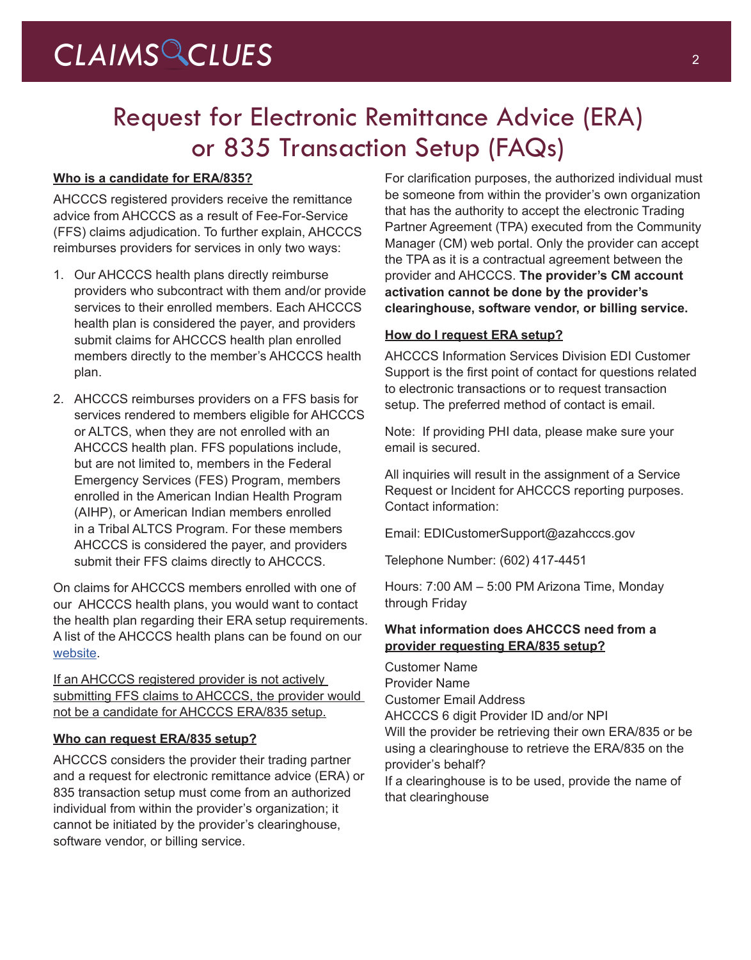## Request for Electronic Remittance Advice (ERA) or 835 Transaction Setup (FAQs)

#### **Who is a candidate for ERA/835?**

AHCCCS registered providers receive the remittance advice from AHCCCS as a result of Fee-For-Service (FFS) claims adjudication. To further explain, AHCCCS reimburses providers for services in only two ways:

- 1. Our AHCCCS health plans directly reimburse providers who subcontract with them and/or provide services to their enrolled members. Each AHCCCS health plan is considered the payer, and providers submit claims for AHCCCS health plan enrolled members directly to the member's AHCCCS health plan.
- 2. AHCCCS reimburses providers on a FFS basis for services rendered to members eligible for AHCCCS or ALTCS, when they are not enrolled with an AHCCCS health plan. FFS populations include, but are not limited to, members in the Federal Emergency Services (FES) Program, members enrolled in the American Indian Health Program (AIHP), or American Indian members enrolled in a Tribal ALTCS Program. For these members AHCCCS is considered the payer, and providers submit their FFS claims directly to AHCCCS.

On claims for AHCCCS members enrolled with one of our AHCCCS health plans, you would want to contact the health plan regarding their ERA setup requirements. A list of the AHCCCS health plans can be found on our [website](https://azweb.statemedicaid.us/HealthPlanLinksNet/HPLinks.asp).

If an AHCCCS registered provider is not actively submitting FFS claims to AHCCCS, the provider would not be a candidate for AHCCCS ERA/835 setup.

#### **Who can request ERA/835 setup?**

AHCCCS considers the provider their trading partner and a request for electronic remittance advice (ERA) or 835 transaction setup must come from an authorized individual from within the provider's organization; it cannot be initiated by the provider's clearinghouse, software vendor, or billing service.

For clarification purposes, the authorized individual must be someone from within the provider's own organization that has the authority to accept the electronic Trading Partner Agreement (TPA) executed from the Community Manager (CM) web portal. Only the provider can accept the TPA as it is a contractual agreement between the provider and AHCCCS. **The provider's CM account activation cannot be done by the provider's clearinghouse, software vendor, or billing service.**

#### **How do I request ERA setup?**

AHCCCS Information Services Division EDI Customer Support is the first point of contact for questions related to electronic transactions or to request transaction setup. The preferred method of contact is email.

Note: If providing PHI data, please make sure your email is secured.

All inquiries will result in the assignment of a Service Request or Incident for AHCCCS reporting purposes. Contact information:

Email: EDICustomerSupport@azahcccs.gov

Telephone Number: (602) 417-4451

Hours: 7:00 AM – 5:00 PM Arizona Time, Monday through Friday

#### **What information does AHCCCS need from a provider requesting ERA/835 setup?**

Customer Name Provider Name Customer Email Address AHCCCS 6 digit Provider ID and/or NPI Will the provider be retrieving their own ERA/835 or be using a clearinghouse to retrieve the ERA/835 on the provider's behalf? If a clearinghouse is to be used, provide the name of that clearinghouse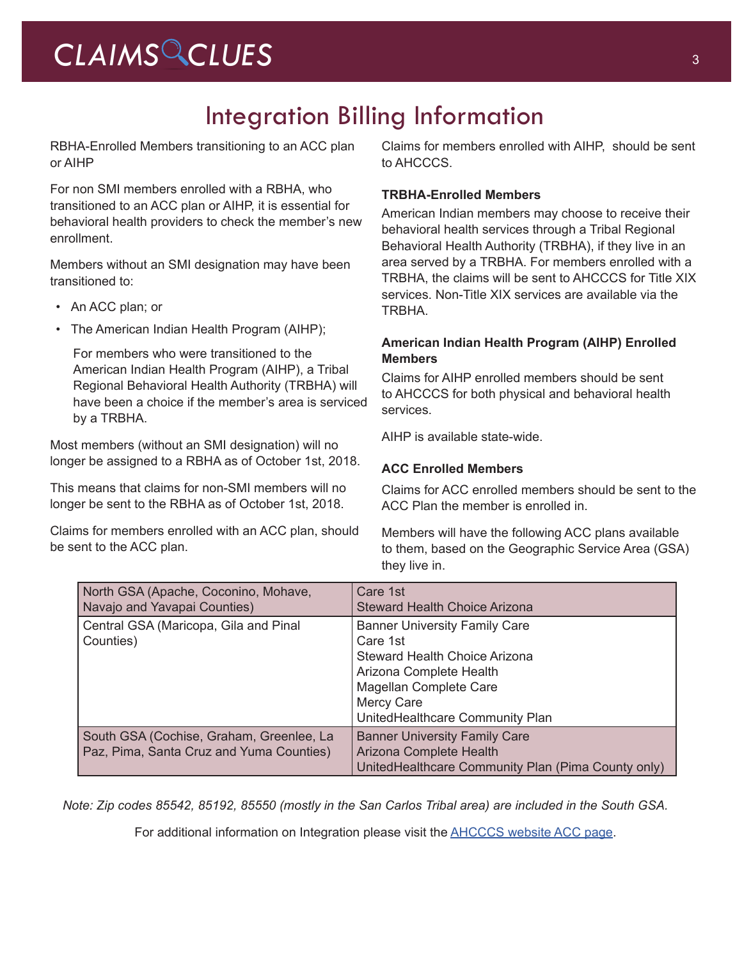## CLAIMS CLUES<sup>3</sup>

## Integration Billing Information

RBHA-Enrolled Members transitioning to an ACC plan or AIHP

For non SMI members enrolled with a RBHA, who transitioned to an ACC plan or AIHP, it is essential for behavioral health providers to check the member's new enrollment.

Members without an SMI designation may have been transitioned to:

- An ACC plan; or
- The American Indian Health Program (AIHP);

For members who were transitioned to the American Indian Health Program (AIHP), a Tribal Regional Behavioral Health Authority (TRBHA) will have been a choice if the member's area is serviced by a TRBHA.

Most members (without an SMI designation) will no longer be assigned to a RBHA as of October 1st, 2018.

This means that claims for non-SMI members will no longer be sent to the RBHA as of October 1st, 2018.

Claims for members enrolled with an ACC plan, should be sent to the ACC plan.

Claims for members enrolled with AIHP, should be sent to AHCCCS.

#### **TRBHA-Enrolled Members**

American Indian members may choose to receive their behavioral health services through a Tribal Regional Behavioral Health Authority (TRBHA), if they live in an area served by a TRBHA. For members enrolled with a TRBHA, the claims will be sent to AHCCCS for Title XIX services. Non-Title XIX services are available via the TRBHA.

#### **American Indian Health Program (AIHP) Enrolled Members**

Claims for AIHP enrolled members should be sent to AHCCCS for both physical and behavioral health services.

AIHP is available state-wide.

#### **ACC Enrolled Members**

Claims for ACC enrolled members should be sent to the ACC Plan the member is enrolled in.

Members will have the following ACC plans available to them, based on the Geographic Service Area (GSA) they live in.

| North GSA (Apache, Coconino, Mohave,<br>Navajo and Yavapai Counties)                 | Care 1st<br><b>Steward Health Choice Arizona</b>                                                                                                                                                      |
|--------------------------------------------------------------------------------------|-------------------------------------------------------------------------------------------------------------------------------------------------------------------------------------------------------|
| Central GSA (Maricopa, Gila and Pinal<br>Counties)                                   | <b>Banner University Family Care</b><br>Care 1st<br><b>Steward Health Choice Arizona</b><br>Arizona Complete Health<br>Magellan Complete Care<br><b>Mercy Care</b><br>UnitedHealthcare Community Plan |
| South GSA (Cochise, Graham, Greenlee, La<br>Paz, Pima, Santa Cruz and Yuma Counties) | <b>Banner University Family Care</b><br>Arizona Complete Health<br>UnitedHealthcare Community Plan (Pima County only)                                                                                 |

*Note: Zip codes 85542, 85192, 85550 (mostly in the San Carlos Tribal area) are included in the South GSA.*

For additional information on Integration please visit the [AHCCCS website ACC page.](https://www.azahcccs.gov/AHCCCS/Initiatives/AHCCCSCompleteCare/)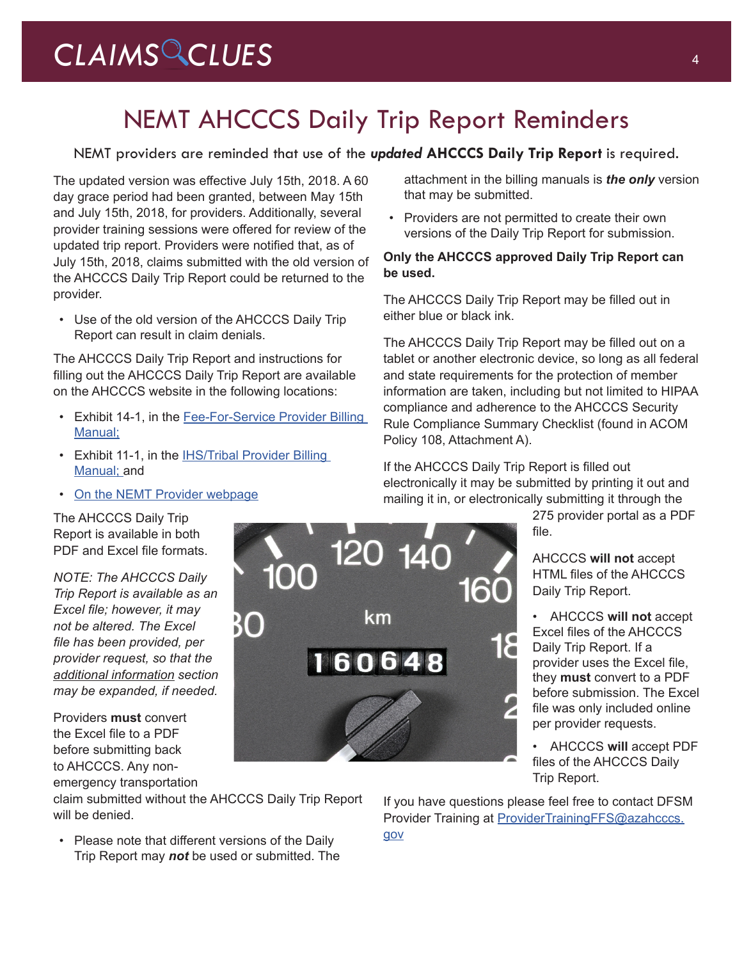## NEMT AHCCCS Daily Trip Report Reminders

#### NEMT providers are reminded that use of the *updated* **AHCCCS Daily Trip Report** is required.

The updated version was effective July 15th, 2018. A 60 day grace period had been granted, between May 15th and July 15th, 2018, for providers. Additionally, several provider training sessions were offered for review of the updated trip report. Providers were notified that, as of July 15th, 2018, claims submitted with the old version of the AHCCCS Daily Trip Report could be returned to the provider.

• Use of the old version of the AHCCCS Daily Trip Report can result in claim denials.

The AHCCCS Daily Trip Report and instructions for filling out the AHCCCS Daily Trip Report are available on the AHCCCS website in the following locations:

- Exhibit 14-1, in the [Fee-For-Service Provider Billing](https://www.azahcccs.gov/PlansProviders/RatesAndBilling/FFS/providermanual.html)  [Manual;](https://www.azahcccs.gov/PlansProviders/RatesAndBilling/FFS/providermanual.html)
- Exhibit 11-1, in the **IHS/Tribal Provider Billing** [Manual;](https://www.azahcccs.gov/PlansProviders/RatesAndBilling/ProviderManuals/IHStribalbillingManual.html) and
- [On the NEMT Provider webpage](https://www.azahcccs.gov/PlansProviders/CurrentProviders/NEMTproviders.html)

The AHCCCS Daily Trip Report is available in both PDF and Excel file formats.

*NOTE: The AHCCCS Daily Trip Report is available as an Excel file; however, it may not be altered. The Excel file has been provided, per provider request, so that the additional information section may be expanded, if needed.*

Providers **must** convert the Excel file to a PDF before submitting back to AHCCCS. Any non-

emergency transportation

claim submitted without the AHCCCS Daily Trip Report will be denied.

• Please note that different versions of the Daily Trip Report may *not* be used or submitted. The attachment in the billing manuals is *the only* version that may be submitted.

• Providers are not permitted to create their own versions of the Daily Trip Report for submission.

#### **Only the AHCCCS approved Daily Trip Report can be used.**

The AHCCCS Daily Trip Report may be filled out in either blue or black ink.

The AHCCCS Daily Trip Report may be filled out on a tablet or another electronic device, so long as all federal and state requirements for the protection of member information are taken, including but not limited to HIPAA compliance and adherence to the AHCCCS Security Rule Compliance Summary Checklist (found in ACOM Policy 108, Attachment A).

If the AHCCCS Daily Trip Report is filled out electronically it may be submitted by printing it out and mailing it in, or electronically submitting it through the

> 275 provider portal as a PDF file.

AHCCCS **will not** accept HTML files of the AHCCCS Daily Trip Report.

• AHCCCS **will not** accept Excel files of the AHCCCS Daily Trip Report. If a provider uses the Excel file, they **must** convert to a PDF before submission. The Excel file was only included online per provider requests.

• AHCCCS **will** accept PDF files of the AHCCCS Daily Trip Report.

If you have questions please feel free to contact DFSM Provider Training at [ProviderTrainingFFS@azahcccs.](mailto:ProviderTrainingFFS%40azahcccs.gov?subject=) [gov](mailto:ProviderTrainingFFS%40azahcccs.gov?subject=)

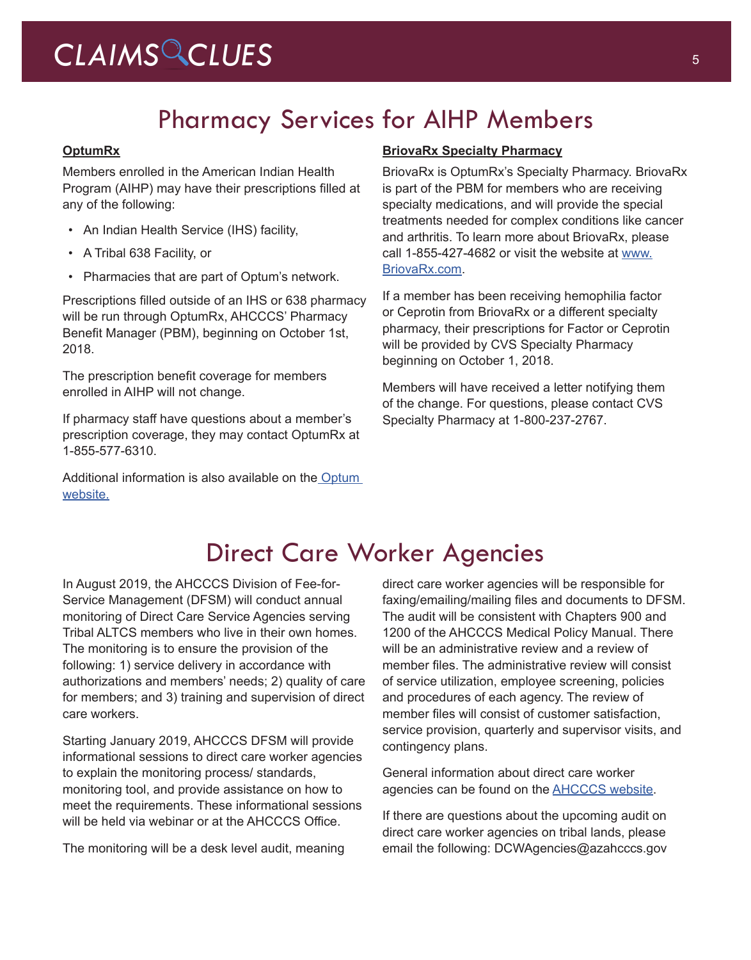## CLAIMS CLUES<sup>5</sup>

## Pharmacy Services for AIHP Members

#### **OptumRx**

Members enrolled in the American Indian Health Program (AIHP) may have their prescriptions filled at any of the following:

- An Indian Health Service (IHS) facility,
- A Tribal 638 Facility, or
- Pharmacies that are part of Optum's network.

Prescriptions filled outside of an IHS or 638 pharmacy will be run through OptumRx, AHCCCS' Pharmacy Benefit Manager (PBM), beginning on October 1st, 2018.

The prescription benefit coverage for members enrolled in AIHP will not change.

If pharmacy staff have questions about a member's prescription coverage, they may contact OptumRx at 1-855-577-6310.

Additional information is also available on the Optum [website.](https://ahcccs.rxportal.mycatamaranrx.com/rxclaim/portal/preLogin)

#### **BriovaRx Specialty Pharmacy**

BriovaRx is OptumRx's Specialty Pharmacy. BriovaRx is part of the PBM for members who are receiving specialty medications, and will provide the special treatments needed for complex conditions like cancer and arthritis. To learn more about BriovaRx, please call 1-855-427-4682 or visit the website at [www.](www.BriovaRx.com) [BriovaRx.com](www.BriovaRx.com).

If a member has been receiving hemophilia factor or Ceprotin from BriovaRx or a different specialty pharmacy, their prescriptions for Factor or Ceprotin will be provided by CVS Specialty Pharmacy beginning on October 1, 2018.

Members will have received a letter notifying them of the change. For questions, please contact CVS Specialty Pharmacy at 1-800-237-2767.

### Direct Care Worker Agencies

In August 2019, the AHCCCS Division of Fee-for-Service Management (DFSM) will conduct annual monitoring of Direct Care Service Agencies serving Tribal ALTCS members who live in their own homes. The monitoring is to ensure the provision of the following: 1) service delivery in accordance with authorizations and members' needs; 2) quality of care for members; and 3) training and supervision of direct care workers.

Starting January 2019, AHCCCS DFSM will provide informational sessions to direct care worker agencies to explain the monitoring process/ standards, monitoring tool, and provide assistance on how to meet the requirements. These informational sessions will be held via webinar or at the AHCCCS Office.

The monitoring will be a desk level audit, meaning

direct care worker agencies will be responsible for faxing/emailing/mailing files and documents to DFSM. The audit will be consistent with Chapters 900 and 1200 of the AHCCCS Medical Policy Manual. There will be an administrative review and a review of member files. The administrative review will consist of service utilization, employee screening, policies and procedures of each agency. The review of member files will consist of customer satisfaction, service provision, quarterly and supervisor visits, and contingency plans.

General information about direct care worker agencies can be found on the [AHCCCS website.](https://www.azahcccs.gov/)

If there are questions about the upcoming audit on direct care worker agencies on tribal lands, please email the following: DCWAgencies@azahcccs.gov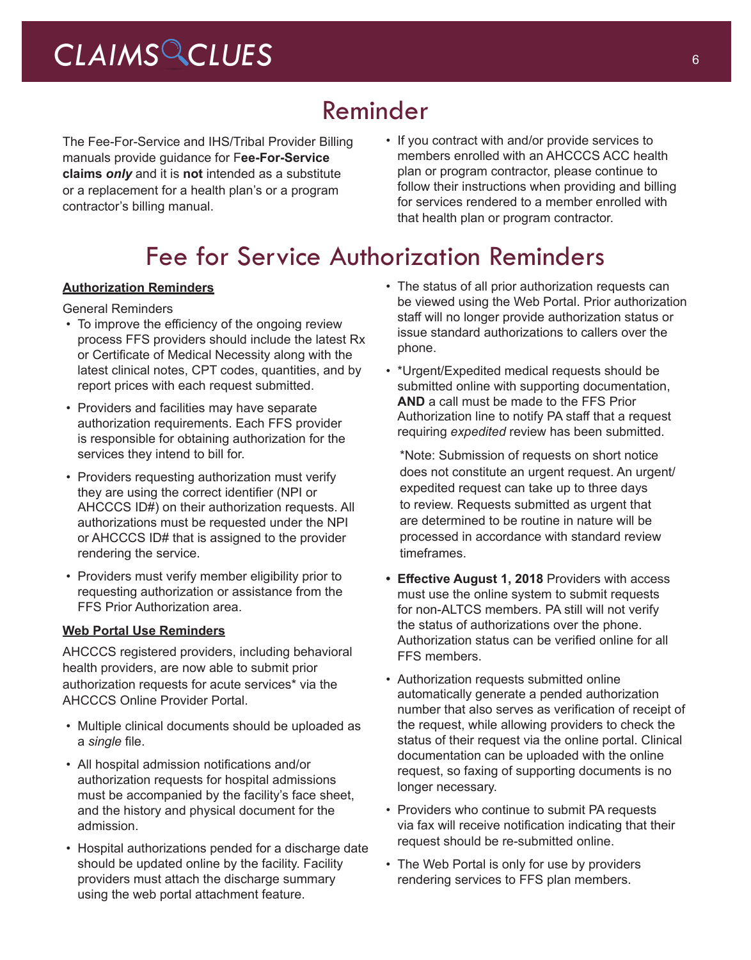### Reminder

The Fee-For-Service and IHS/Tribal Provider Billing manuals provide guidance for F**ee-For-Service claims** *only* and it is **not** intended as a substitute or a replacement for a health plan's or a program contractor's billing manual.

• If you contract with and/or provide services to members enrolled with an AHCCCS ACC health plan or program contractor, please continue to follow their instructions when providing and billing for services rendered to a member enrolled with that health plan or program contractor.

## Fee for Service Authorization Reminders

#### **Authorization Reminders**

General Reminders

- To improve the efficiency of the ongoing review process FFS providers should include the latest Rx or Certificate of Medical Necessity along with the latest clinical notes, CPT codes, quantities, and by report prices with each request submitted.
- Providers and facilities may have separate authorization requirements. Each FFS provider is responsible for obtaining authorization for the services they intend to bill for.
- Providers requesting authorization must verify they are using the correct identifier (NPI or AHCCCS ID#) on their authorization requests. All authorizations must be requested under the NPI or AHCCCS ID# that is assigned to the provider rendering the service.
- Providers must verify member eligibility prior to requesting authorization or assistance from the FFS Prior Authorization area.

#### **Web Portal Use Reminders**

AHCCCS registered providers, including behavioral health providers, are now able to submit prior authorization requests for acute services\* via the AHCCCS Online Provider Portal.

- Multiple clinical documents should be uploaded as a *single* file.
- All hospital admission notifications and/or authorization requests for hospital admissions must be accompanied by the facility's face sheet, and the history and physical document for the admission.
- Hospital authorizations pended for a discharge date should be updated online by the facility. Facility providers must attach the discharge summary using the web portal attachment feature.
- The status of all prior authorization requests can be viewed using the Web Portal. Prior authorization staff will no longer provide authorization status or issue standard authorizations to callers over the phone.
- \*Urgent/Expedited medical requests should be submitted online with supporting documentation, **AND** a call must be made to the FFS Prior Authorization line to notify PA staff that a request requiring *expedited* review has been submitted.

\*Note: Submission of requests on short notice does not constitute an urgent request. An urgent/ expedited request can take up to three days to review. Requests submitted as urgent that are determined to be routine in nature will be processed in accordance with standard review timeframes.

- **• Effective August 1, 2018** Providers with access must use the online system to submit requests for non-ALTCS members. PA still will not verify the status of authorizations over the phone. Authorization status can be verified online for all FFS members.
- Authorization requests submitted online automatically generate a pended authorization number that also serves as verification of receipt of the request, while allowing providers to check the status of their request via the online portal. Clinical documentation can be uploaded with the online request, so faxing of supporting documents is no longer necessary.
- Providers who continue to submit PA requests via fax will receive notification indicating that their request should be re-submitted online.
- The Web Portal is only for use by providers rendering services to FFS plan members.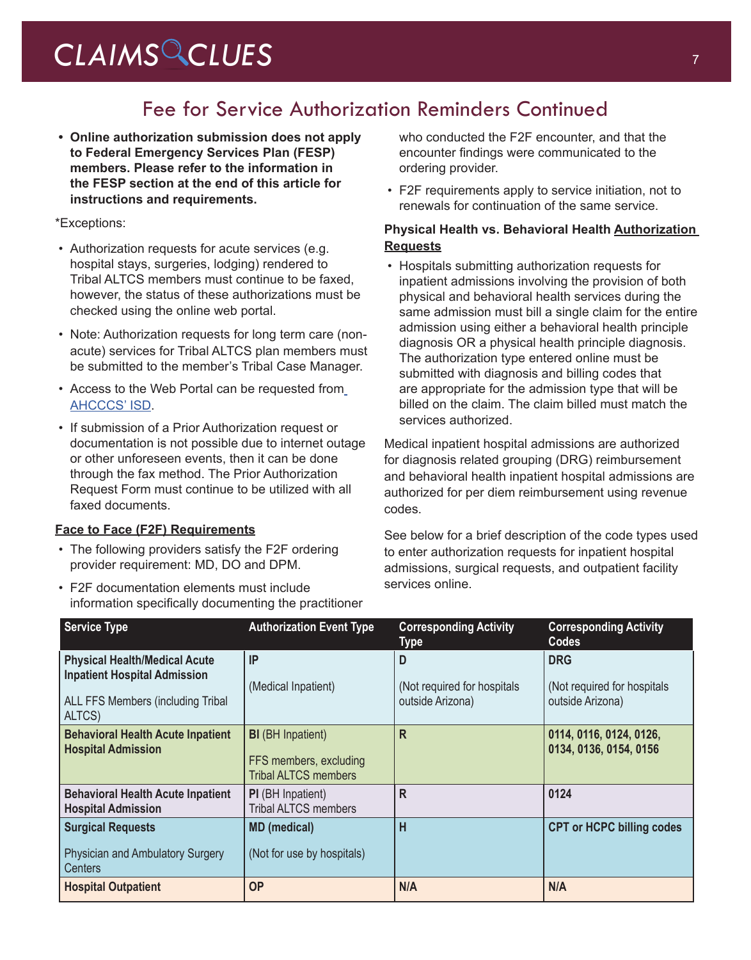### Fee for Service Authorization Reminders Continued

**• Online authorization submission does not apply to Federal Emergency Services Plan (FESP) members. Please refer to the information in the FESP section at the end of this article for instructions and requirements.**

#### \*Exceptions:

- Authorization requests for acute services (e.g. hospital stays, surgeries, lodging) rendered to Tribal ALTCS members must continue to be faxed, however, the status of these authorizations must be checked using the online web portal.
- Note: Authorization requests for long term care (nonacute) services for Tribal ALTCS plan members must be submitted to the member's Tribal Case Manager.
- Access to the Web Portal can be requested from [AHCCCS' ISD](https://azweb.statemedicaid.us/Account/Register.aspx).
- If submission of a Prior Authorization request or documentation is not possible due to internet outage or other unforeseen events, then it can be done through the fax method. The Prior Authorization Request Form must continue to be utilized with all faxed documents.

#### **Face to Face (F2F) Requirements**

- The following providers satisfy the F2F ordering provider requirement: MD, DO and DPM.
- F2F documentation elements must include information specifically documenting the practitioner

who conducted the F2F encounter, and that the encounter findings were communicated to the ordering provider.

• F2F requirements apply to service initiation, not to renewals for continuation of the same service.

#### **Physical Health vs. Behavioral Health Authorization Requests**

• Hospitals submitting authorization requests for inpatient admissions involving the provision of both physical and behavioral health services during the same admission must bill a single claim for the entire admission using either a behavioral health principle diagnosis OR a physical health principle diagnosis. The authorization type entered online must be submitted with diagnosis and billing codes that are appropriate for the admission type that will be billed on the claim. The claim billed must match the services authorized.

Medical inpatient hospital admissions are authorized for diagnosis related grouping (DRG) reimbursement and behavioral health inpatient hospital admissions are authorized for per diem reimbursement using revenue codes.

See below for a brief description of the code types used to enter authorization requests for inpatient hospital admissions, surgical requests, and outpatient facility services online.

| <b>Service Type</b>                                                                                                               | <b>Authorization Event Type</b>                                                   | <b>Corresponding Activity</b><br>Type                 | <b>Corresponding Activity</b><br><b>Codes</b>                  |
|-----------------------------------------------------------------------------------------------------------------------------------|-----------------------------------------------------------------------------------|-------------------------------------------------------|----------------------------------------------------------------|
| <b>Physical Health/Medical Acute</b><br><b>Inpatient Hospital Admission</b><br><b>ALL FFS Members (including Tribal</b><br>ALTCS) | IP<br>(Medical Inpatient)                                                         | D<br>(Not required for hospitals)<br>outside Arizona) | <b>DRG</b><br>(Not required for hospitals)<br>outside Arizona) |
| <b>Behavioral Health Acute Inpatient</b><br><b>Hospital Admission</b>                                                             | <b>BI</b> (BH Inpatient)<br>FFS members, excluding<br><b>Tribal ALTCS members</b> | R                                                     | 0114, 0116, 0124, 0126,<br>0134, 0136, 0154, 0156              |
| <b>Behavioral Health Acute Inpatient</b><br><b>Hospital Admission</b>                                                             | <b>PI</b> (BH Inpatient)<br><b>Tribal ALTCS members</b>                           | R                                                     | 0124                                                           |
| <b>Surgical Requests</b><br>Physician and Ambulatory Surgery<br><b>Centers</b>                                                    | <b>MD</b> (medical)<br>(Not for use by hospitals)                                 | H                                                     | <b>CPT or HCPC billing codes</b>                               |
| <b>Hospital Outpatient</b>                                                                                                        | <b>OP</b>                                                                         | N/A                                                   | N/A                                                            |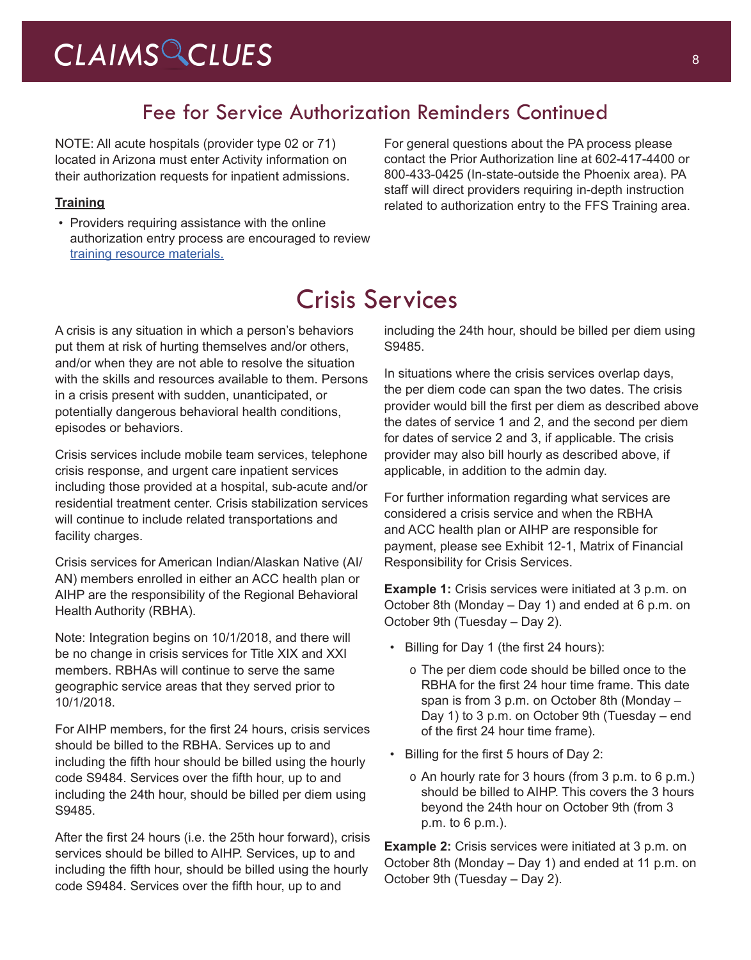## CLAIMS CLUES<sup>8</sup>

### Fee for Service Authorization Reminders Continued

NOTE: All acute hospitals (provider type 02 or 71) located in Arizona must enter Activity information on their authorization requests for inpatient admissions.

#### **Training**

• Providers requiring assistance with the online authorization entry process are encouraged to review [training resource materials](https://www.azahcccs.gov/Resources/Downloads/DFMSTraining/2018/PATraining_Final.pdf).

For general questions about the PA process please contact the Prior Authorization line at 602-417-4400 or 800-433-0425 (In-state-outside the Phoenix area). PA staff will direct providers requiring in-depth instruction related to authorization entry to the FFS Training area.

## Crisis Services

A crisis is any situation in which a person's behaviors put them at risk of hurting themselves and/or others, and/or when they are not able to resolve the situation with the skills and resources available to them. Persons in a crisis present with sudden, unanticipated, or potentially dangerous behavioral health conditions, episodes or behaviors.

Crisis services include mobile team services, telephone crisis response, and urgent care inpatient services including those provided at a hospital, sub-acute and/or residential treatment center. Crisis stabilization services will continue to include related transportations and facility charges.

Crisis services for American Indian/Alaskan Native (AI/ AN) members enrolled in either an ACC health plan or AIHP are the responsibility of the Regional Behavioral Health Authority (RBHA).

Note: Integration begins on 10/1/2018, and there will be no change in crisis services for Title XIX and XXI members. RBHAs will continue to serve the same geographic service areas that they served prior to 10/1/2018.

For AIHP members, for the first 24 hours, crisis services should be billed to the RBHA. Services up to and including the fifth hour should be billed using the hourly code S9484. Services over the fifth hour, up to and including the 24th hour, should be billed per diem using S9485.

After the first 24 hours (i.e. the 25th hour forward), crisis services should be billed to AIHP. Services, up to and including the fifth hour, should be billed using the hourly code S9484. Services over the fifth hour, up to and

including the 24th hour, should be billed per diem using S9485.

In situations where the crisis services overlap days, the per diem code can span the two dates. The crisis provider would bill the first per diem as described above the dates of service 1 and 2, and the second per diem for dates of service 2 and 3, if applicable. The crisis provider may also bill hourly as described above, if applicable, in addition to the admin day.

For further information regarding what services are considered a crisis service and when the RBHA and ACC health plan or AIHP are responsible for payment, please see Exhibit 12-1, Matrix of Financial Responsibility for Crisis Services.

**Example 1:** Crisis services were initiated at 3 p.m. on October 8th (Monday – Day 1) and ended at 6 p.m. on October 9th (Tuesday – Day 2).

- Billing for Day 1 (the first 24 hours):
	- o The per diem code should be billed once to the RBHA for the first 24 hour time frame. This date span is from 3 p.m. on October 8th (Monday – Day 1) to 3 p.m. on October 9th (Tuesday – end of the first 24 hour time frame).
- Billing for the first 5 hours of Day 2:
	- o An hourly rate for 3 hours (from 3 p.m. to 6 p.m.) should be billed to AIHP. This covers the 3 hours beyond the 24th hour on October 9th (from 3 p.m. to 6 p.m.).

**Example 2:** Crisis services were initiated at 3 p.m. on October 8th (Monday – Day 1) and ended at 11 p.m. on October 9th (Tuesday – Day 2).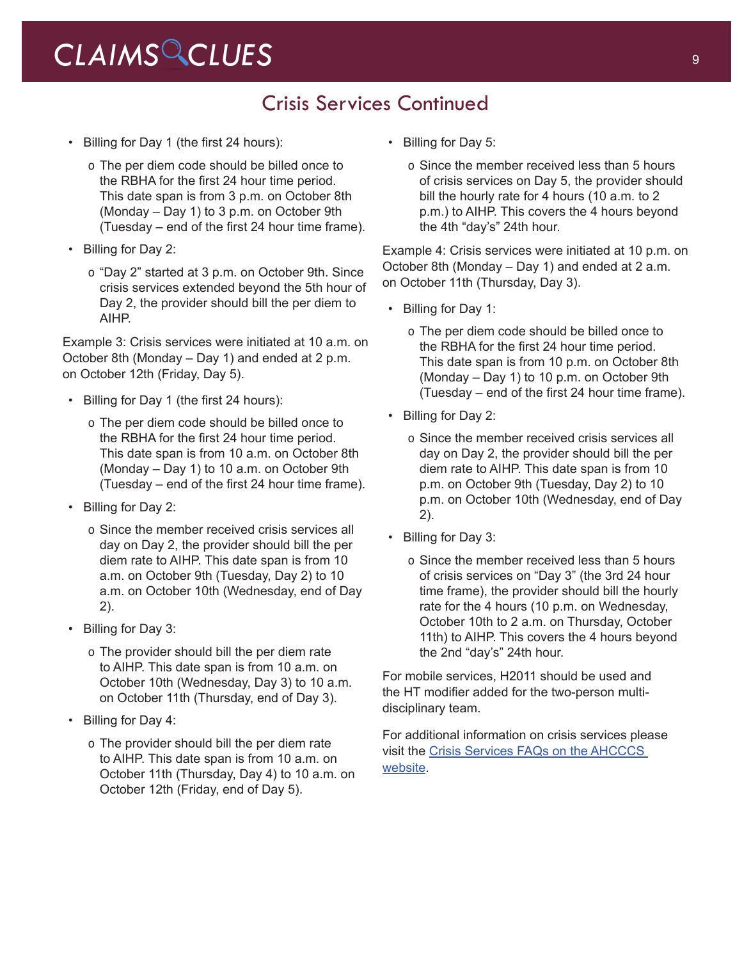### Crisis Services Continued

- Billing for Day 1 (the first 24 hours):
	- o The per diem code should be billed once to the RBHA for the first 24 hour time period. This date span is from 3 p.m. on October 8th (Monday – Day 1) to 3 p.m. on October 9th (Tuesday – end of the first 24 hour time frame).
- Billing for Day 2:
	- o "Day 2" started at 3 p.m. on October 9th. Since crisis services extended beyond the 5th hour of Day 2, the provider should bill the per diem to AIHP.

Example 3: Crisis services were initiated at 10 a.m. on October 8th (Monday – Day 1) and ended at 2 p.m. on October 12th (Friday, Day 5).

- Billing for Day 1 (the first 24 hours):
	- o The per diem code should be billed once to the RBHA for the first 24 hour time period. This date span is from 10 a.m. on October 8th (Monday – Day 1) to 10 a.m. on October 9th (Tuesday – end of the first 24 hour time frame).
- Billing for Day 2:
	- o Since the member received crisis services all day on Day 2, the provider should bill the per diem rate to AIHP. This date span is from 10 a.m. on October 9th (Tuesday, Day 2) to 10 a.m. on October 10th (Wednesday, end of Day 2).
- Billing for Day 3:
	- o The provider should bill the per diem rate to AIHP. This date span is from 10 a.m. on October 10th (Wednesday, Day 3) to 10 a.m. on October 11th (Thursday, end of Day 3).
- Billing for Day 4:
	- o The provider should bill the per diem rate to AIHP. This date span is from 10 a.m. on October 11th (Thursday, Day 4) to 10 a.m. on October 12th (Friday, end of Day 5).
- Billing for Day 5:
	- o Since the member received less than 5 hours of crisis services on Day 5, the provider should bill the hourly rate for 4 hours (10 a.m. to 2 p.m.) to AIHP. This covers the 4 hours beyond the 4th "day's" 24th hour.

Example 4: Crisis services were initiated at 10 p.m. on October 8th (Monday – Day 1) and ended at 2 a.m. on October 11th (Thursday, Day 3).

- Billing for Day 1:
	- o The per diem code should be billed once to the RBHA for the first 24 hour time period. This date span is from 10 p.m. on October 8th (Monday – Day 1) to 10 p.m. on October 9th (Tuesday – end of the first 24 hour time frame).
- Billing for Day 2:
	- o Since the member received crisis services all day on Day 2, the provider should bill the per diem rate to AIHP. This date span is from 10 p.m. on October 9th (Tuesday, Day 2) to 10 p.m. on October 10th (Wednesday, end of Day 2).
- Billing for Day 3:
	- o Since the member received less than 5 hours of crisis services on "Day 3" (the 3rd 24 hour time frame), the provider should bill the hourly rate for the 4 hours (10 p.m. on Wednesday, October 10th to 2 a.m. on Thursday, October 11th) to AIHP. This covers the 4 hours beyond the 2nd "day's" 24th hour.

For mobile services, H2011 should be used and the HT modifier added for the two-person multidisciplinary team.

For additional information on crisis services please visit the [Crisis Services FAQs on the AHCCCS](https://www.azahcccs.gov/AHCCCS/Downloads/ACC/View_Crisis_System_FAQs.pdf)  [website](https://www.azahcccs.gov/AHCCCS/Downloads/ACC/View_Crisis_System_FAQs.pdf).